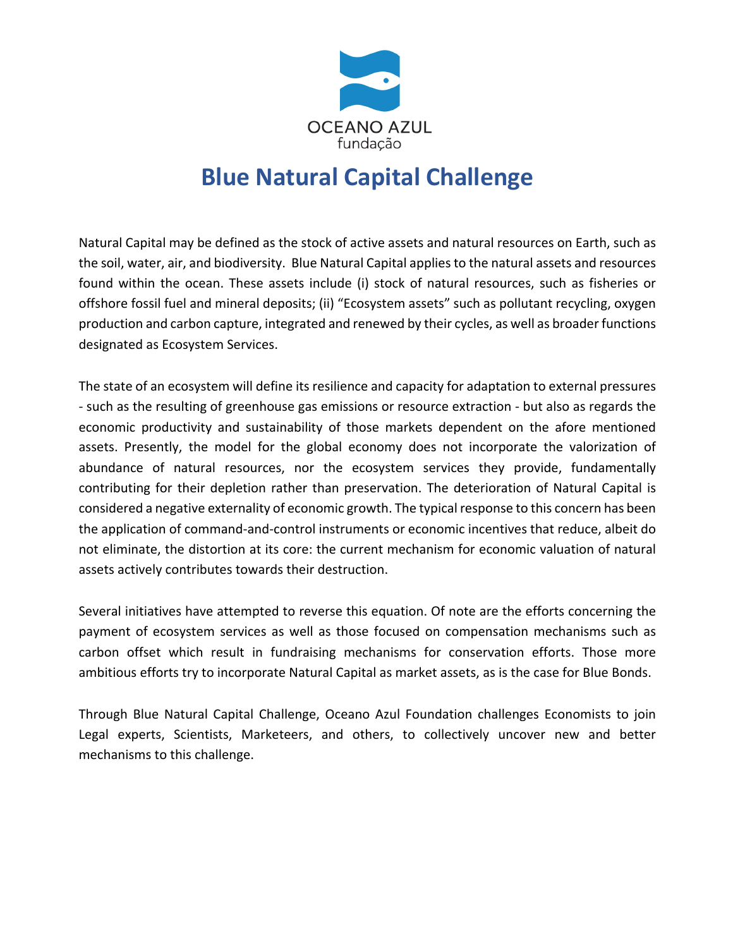

# **Blue Natural Capital Challenge**

Natural Capital may be defined as the stock of active assets and natural resources on Earth, such as the soil, water, air, and biodiversity. Blue Natural Capital applies to the natural assets and resources found within the ocean. These assets include (i) stock of natural resources, such as fisheries or offshore fossil fuel and mineral deposits; (ii) "Ecosystem assets" such as pollutant recycling, oxygen production and carbon capture, integrated and renewed by their cycles, as well as broader functions designated as Ecosystem Services.

The state of an ecosystem will define its resilience and capacity for adaptation to external pressures - such as the resulting of greenhouse gas emissions or resource extraction - but also as regards the economic productivity and sustainability of those markets dependent on the afore mentioned assets. Presently, the model for the global economy does not incorporate the valorization of abundance of natural resources, nor the ecosystem services they provide, fundamentally contributing for their depletion rather than preservation. The deterioration of Natural Capital is considered a negative externality of economic growth. The typical response to this concern has been the application of command-and-control instruments or economic incentives that reduce, albeit do not eliminate, the distortion at its core: the current mechanism for economic valuation of natural assets actively contributes towards their destruction.

Several initiatives have attempted to reverse this equation. Of note are the efforts concerning the payment of ecosystem services as well as those focused on compensation mechanisms such as carbon offset which result in fundraising mechanisms for conservation efforts. Those more ambitious efforts try to incorporate Natural Capital as market assets, as is the case for Blue Bonds.

Through Blue Natural Capital Challenge, Oceano Azul Foundation challenges Economists to join Legal experts, Scientists, Marketeers, and others, to collectively uncover new and better mechanisms to this challenge.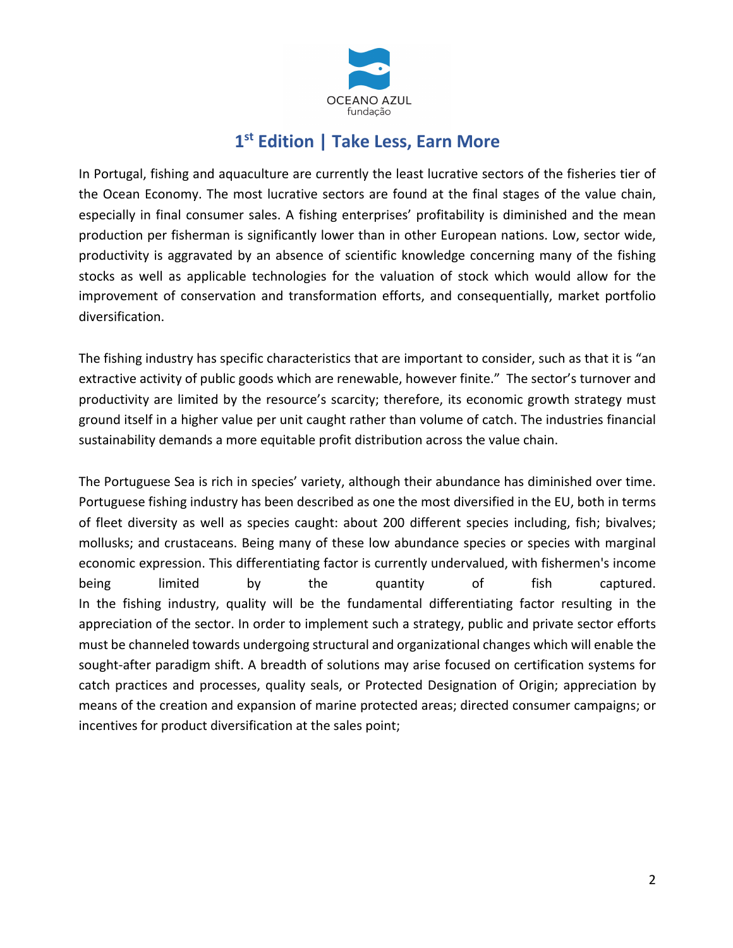

# **1st Edition | Take Less, Earn More**

In Portugal, fishing and aquaculture are currently the least lucrative sectors of the fisheries tier of the Ocean Economy. The most lucrative sectors are found at the final stages of the value chain, especially in final consumer sales. A fishing enterprises' profitability is diminished and the mean production per fisherman is significantly lower than in other European nations. Low, sector wide, productivity is aggravated by an absence of scientific knowledge concerning many of the fishing stocks as well as applicable technologies for the valuation of stock which would allow for the improvement of conservation and transformation efforts, and consequentially, market portfolio diversification.

The fishing industry has specific characteristics that are important to consider, such as that it is "an extractive activity of public goods which are renewable, however finite." The sector's turnover and productivity are limited by the resource's scarcity; therefore, its economic growth strategy must ground itself in a higher value per unit caught rather than volume of catch. The industries financial sustainability demands a more equitable profit distribution across the value chain.

The Portuguese Sea is rich in species' variety, although their abundance has diminished over time. Portuguese fishing industry has been described as one the most diversified in the EU, both in terms of fleet diversity as well as species caught: about 200 different species including, fish; bivalves; mollusks; and crustaceans. Being many of these low abundance species or species with marginal economic expression. This differentiating factor is currently undervalued, with fishermen's income being limited by the quantity of fish captured. In the fishing industry, quality will be the fundamental differentiating factor resulting in the appreciation of the sector. In order to implement such a strategy, public and private sector efforts must be channeled towards undergoing structural and organizational changes which will enable the sought-after paradigm shift. A breadth of solutions may arise focused on certification systems for catch practices and processes, quality seals, or Protected Designation of Origin; appreciation by means of the creation and expansion of marine protected areas; directed consumer campaigns; or incentives for product diversification at the sales point;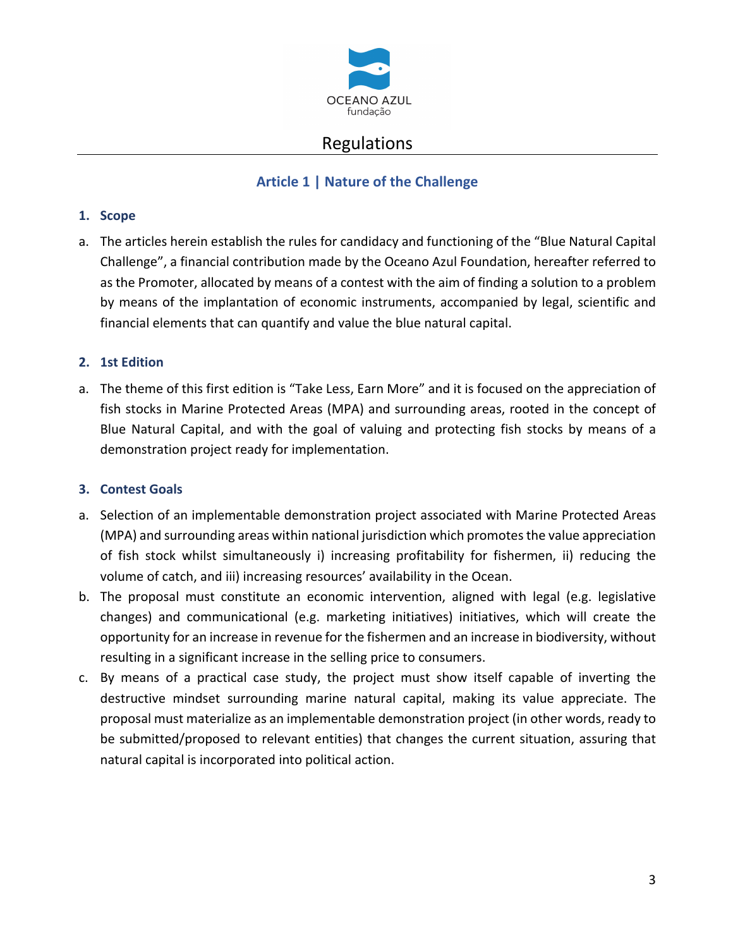

# Regulations

# **Article 1 | Nature of the Challenge**

#### **1. Scope**

a. The articles herein establish the rules for candidacy and functioning of the "Blue Natural Capital Challenge", a financial contribution made by the Oceano Azul Foundation, hereafter referred to as the Promoter, allocated by means of a contest with the aim of finding a solution to a problem by means of the implantation of economic instruments, accompanied by legal, scientific and financial elements that can quantify and value the blue natural capital.

#### **2. 1st Edition**

a. The theme of this first edition is "Take Less, Earn More" and it is focused on the appreciation of fish stocks in Marine Protected Areas (MPA) and surrounding areas, rooted in the concept of Blue Natural Capital, and with the goal of valuing and protecting fish stocks by means of a demonstration project ready for implementation.

#### **3. Contest Goals**

- a. Selection of an implementable demonstration project associated with Marine Protected Areas (MPA) and surrounding areas within national jurisdiction which promotes the value appreciation of fish stock whilst simultaneously i) increasing profitability for fishermen, ii) reducing the volume of catch, and iii) increasing resources' availability in the Ocean.
- b. The proposal must constitute an economic intervention, aligned with legal (e.g. legislative changes) and communicational (e.g. marketing initiatives) initiatives, which will create the opportunity for an increase in revenue for the fishermen and an increase in biodiversity, without resulting in a significant increase in the selling price to consumers.
- c. By means of a practical case study, the project must show itself capable of inverting the destructive mindset surrounding marine natural capital, making its value appreciate. The proposal must materialize as an implementable demonstration project (in other words, ready to be submitted/proposed to relevant entities) that changes the current situation, assuring that natural capital is incorporated into political action.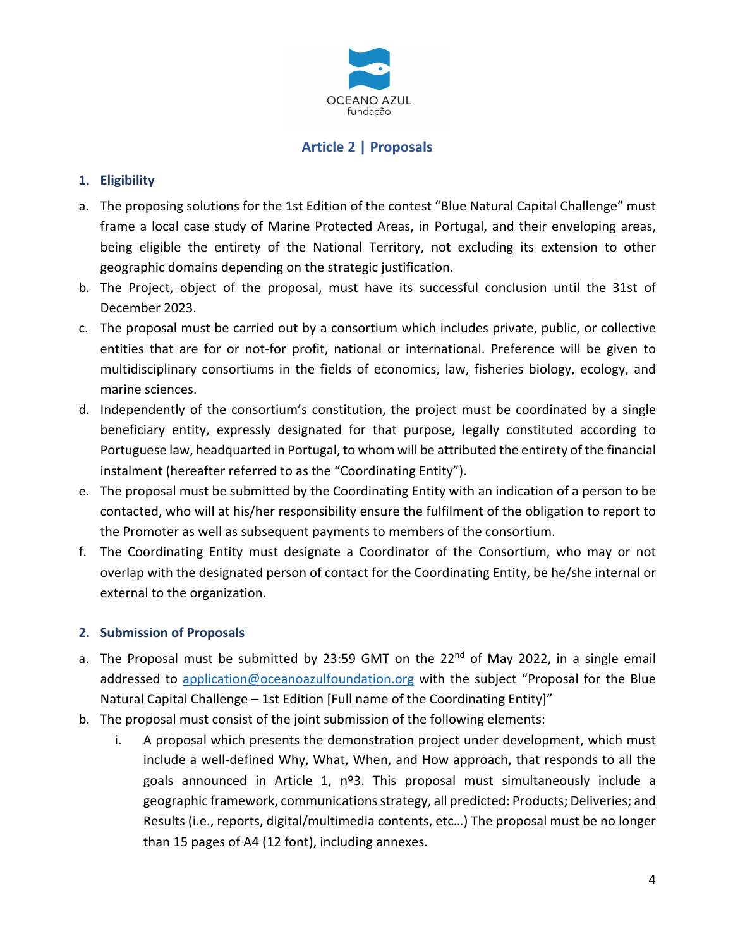

# **Article 2 | Proposals**

### **1. Eligibility**

- a. The proposing solutions for the 1st Edition of the contest "Blue Natural Capital Challenge" must frame a local case study of Marine Protected Areas, in Portugal, and their enveloping areas, being eligible the entirety of the National Territory, not excluding its extension to other geographic domains depending on the strategic justification.
- b. The Project, object of the proposal, must have its successful conclusion until the 31st of December 2023.
- c. The proposal must be carried out by a consortium which includes private, public, or collective entities that are for or not-for profit, national or international. Preference will be given to multidisciplinary consortiums in the fields of economics, law, fisheries biology, ecology, and marine sciences.
- d. Independently of the consortium's constitution, the project must be coordinated by a single beneficiary entity, expressly designated for that purpose, legally constituted according to Portuguese law, headquarted in Portugal, to whom will be attributed the entirety of the financial instalment (hereafter referred to as the "Coordinating Entity").
- e. The proposal must be submitted by the Coordinating Entity with an indication of a person to be contacted, who will at his/her responsibility ensure the fulfilment of the obligation to report to the Promoter as well as subsequent payments to members of the consortium.
- f. The Coordinating Entity must designate a Coordinator of the Consortium, who may or not overlap with the designated person of contact for the Coordinating Entity, be he/she internal or external to the organization.

#### **2. Submission of Proposals**

- a. The Proposal must be submitted by 23:59 GMT on the  $22^{nd}$  of May 2022, in a single email addressed to application@oceanoazulfoundation.org with the subject "Proposal for the Blue Natural Capital Challenge – 1st Edition [Full name of the Coordinating Entity]"
- b. The proposal must consist of the joint submission of the following elements:
	- i. A proposal which presents the demonstration project under development, which must include a well-defined Why, What, When, and How approach, that responds to all the goals announced in Article 1, nº3. This proposal must simultaneously include a geographic framework, communications strategy, all predicted: Products; Deliveries; and Results (i.e., reports, digital/multimedia contents, etc…) The proposal must be no longer than 15 pages of A4 (12 font), including annexes.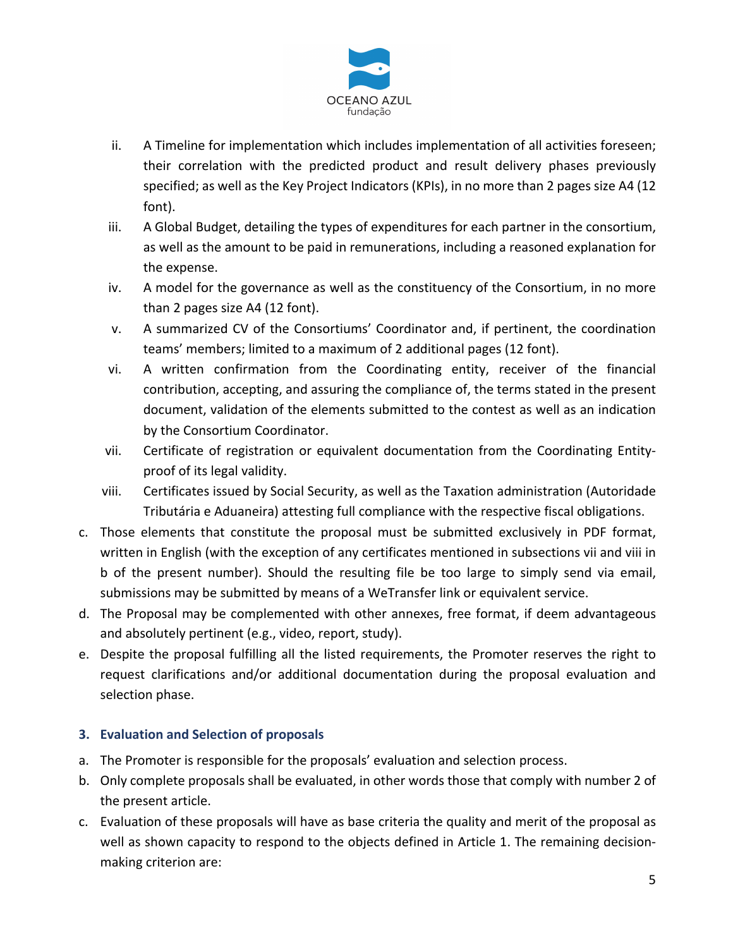

- ii. A Timeline for implementation which includes implementation of all activities foreseen; their correlation with the predicted product and result delivery phases previously specified; as well as the Key Project Indicators (KPIs), in no more than 2 pages size A4 (12 font).
- iii. A Global Budget, detailing the types of expenditures for each partner in the consortium, as well as the amount to be paid in remunerations, including a reasoned explanation for the expense.
- iv. A model for the governance as well as the constituency of the Consortium, in no more than 2 pages size A4 (12 font).
- v. A summarized CV of the Consortiums' Coordinator and, if pertinent, the coordination teams' members; limited to a maximum of 2 additional pages (12 font).
- vi. A written confirmation from the Coordinating entity, receiver of the financial contribution, accepting, and assuring the compliance of, the terms stated in the present document, validation of the elements submitted to the contest as well as an indication by the Consortium Coordinator.
- vii. Certificate of registration or equivalent documentation from the Coordinating Entityproof of its legal validity.
- viii. Certificates issued by Social Security, as well as the Taxation administration (Autoridade Tributária e Aduaneira) attesting full compliance with the respective fiscal obligations.
- c. Those elements that constitute the proposal must be submitted exclusively in PDF format, written in English (with the exception of any certificates mentioned in subsections vii and viii in b of the present number). Should the resulting file be too large to simply send via email, submissions may be submitted by means of a WeTransfer link or equivalent service.
- d. The Proposal may be complemented with other annexes, free format, if deem advantageous and absolutely pertinent (e.g., video, report, study).
- e. Despite the proposal fulfilling all the listed requirements, the Promoter reserves the right to request clarifications and/or additional documentation during the proposal evaluation and selection phase.

# **3. Evaluation and Selection of proposals**

- a. The Promoter is responsible for the proposals' evaluation and selection process.
- b. Only complete proposals shall be evaluated, in other words those that comply with number 2 of the present article.
- c. Evaluation of these proposals will have as base criteria the quality and merit of the proposal as well as shown capacity to respond to the objects defined in Article 1. The remaining decisionmaking criterion are: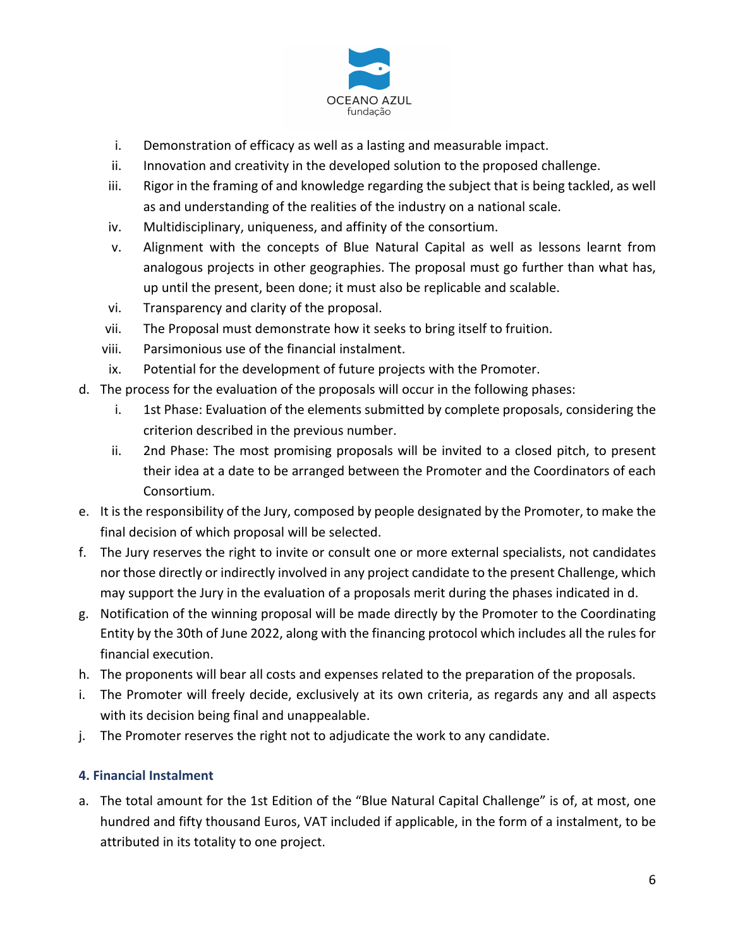

- i. Demonstration of efficacy as well as a lasting and measurable impact.
- ii. Innovation and creativity in the developed solution to the proposed challenge.
- iii. Rigor in the framing of and knowledge regarding the subject that is being tackled, as well as and understanding of the realities of the industry on a national scale.
- iv. Multidisciplinary, uniqueness, and affinity of the consortium.
- v. Alignment with the concepts of Blue Natural Capital as well as lessons learnt from analogous projects in other geographies. The proposal must go further than what has, up until the present, been done; it must also be replicable and scalable.
- vi. Transparency and clarity of the proposal.
- vii. The Proposal must demonstrate how it seeks to bring itself to fruition.
- viii. Parsimonious use of the financial instalment.
- ix. Potential for the development of future projects with the Promoter.
- d. The process for the evaluation of the proposals will occur in the following phases:
	- i. 1st Phase: Evaluation of the elements submitted by complete proposals, considering the criterion described in the previous number.
	- ii. 2nd Phase: The most promising proposals will be invited to a closed pitch, to present their idea at a date to be arranged between the Promoter and the Coordinators of each Consortium.
- e. It is the responsibility of the Jury, composed by people designated by the Promoter, to make the final decision of which proposal will be selected.
- f. The Jury reserves the right to invite or consult one or more external specialists, not candidates nor those directly or indirectly involved in any project candidate to the present Challenge, which may support the Jury in the evaluation of a proposals merit during the phases indicated in d.
- g. Notification of the winning proposal will be made directly by the Promoter to the Coordinating Entity by the 30th of June 2022, along with the financing protocol which includes all the rules for financial execution.
- h. The proponents will bear all costs and expenses related to the preparation of the proposals.
- i. The Promoter will freely decide, exclusively at its own criteria, as regards any and all aspects with its decision being final and unappealable.
- j. The Promoter reserves the right not to adjudicate the work to any candidate.

#### **4. Financial Instalment**

a. The total amount for the 1st Edition of the "Blue Natural Capital Challenge" is of, at most, one hundred and fifty thousand Euros, VAT included if applicable, in the form of a instalment, to be attributed in its totality to one project.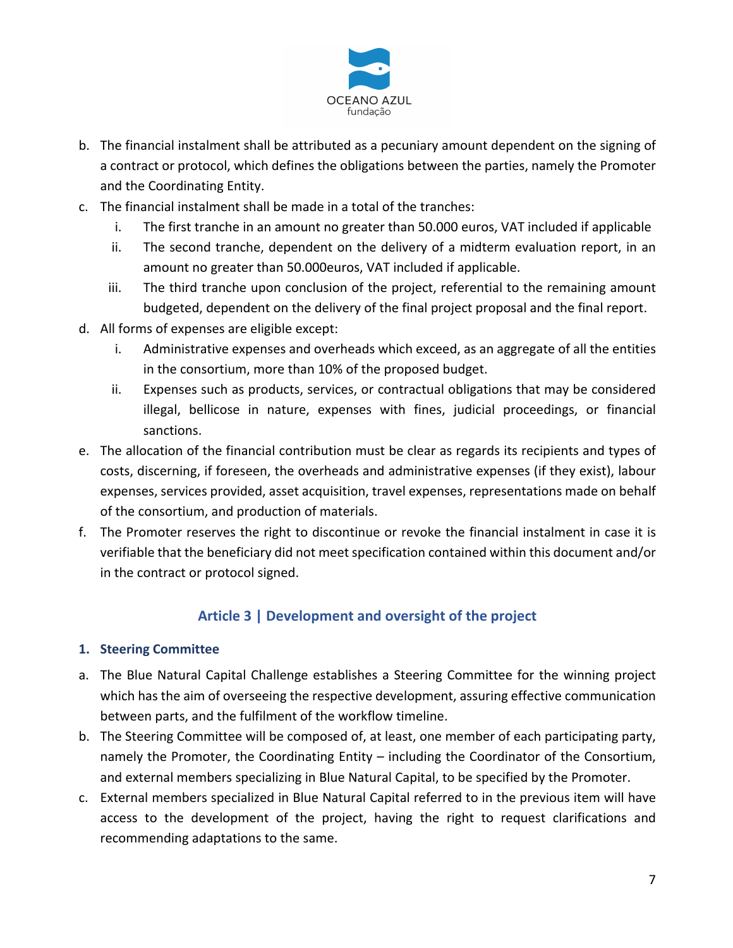

- b. The financial instalment shall be attributed as a pecuniary amount dependent on the signing of a contract or protocol, which defines the obligations between the parties, namely the Promoter and the Coordinating Entity.
- c. The financial instalment shall be made in a total of the tranches:
	- i. The first tranche in an amount no greater than 50.000 euros, VAT included if applicable
	- ii. The second tranche, dependent on the delivery of a midterm evaluation report, in an amount no greater than 50.000euros, VAT included if applicable.
	- iii. The third tranche upon conclusion of the project, referential to the remaining amount budgeted, dependent on the delivery of the final project proposal and the final report.
- d. All forms of expenses are eligible except:
	- i. Administrative expenses and overheads which exceed, as an aggregate of all the entities in the consortium, more than 10% of the proposed budget.
	- ii. Expenses such as products, services, or contractual obligations that may be considered illegal, bellicose in nature, expenses with fines, judicial proceedings, or financial sanctions.
- e. The allocation of the financial contribution must be clear as regards its recipients and types of costs, discerning, if foreseen, the overheads and administrative expenses (if they exist), labour expenses, services provided, asset acquisition, travel expenses, representations made on behalf of the consortium, and production of materials.
- f. The Promoter reserves the right to discontinue or revoke the financial instalment in case it is verifiable that the beneficiary did not meet specification contained within this document and/or in the contract or protocol signed.

# **Article 3 | Development and oversight of the project**

#### **1. Steering Committee**

- a. The Blue Natural Capital Challenge establishes a Steering Committee for the winning project which has the aim of overseeing the respective development, assuring effective communication between parts, and the fulfilment of the workflow timeline.
- b. The Steering Committee will be composed of, at least, one member of each participating party, namely the Promoter, the Coordinating Entity – including the Coordinator of the Consortium, and external members specializing in Blue Natural Capital, to be specified by the Promoter.
- c. External members specialized in Blue Natural Capital referred to in the previous item will have access to the development of the project, having the right to request clarifications and recommending adaptations to the same.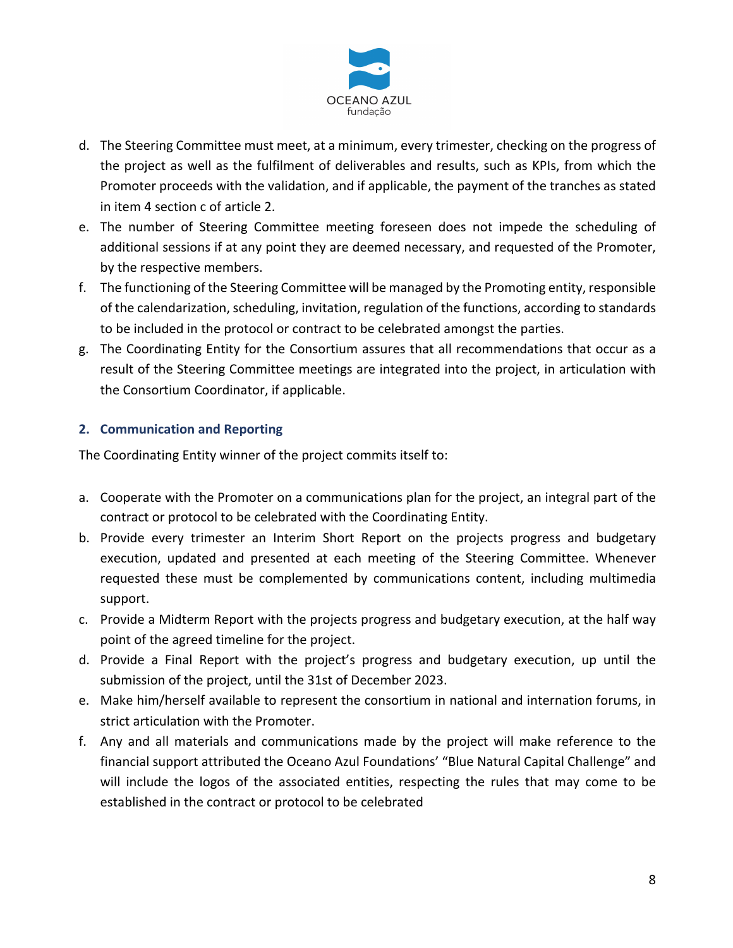

- d. The Steering Committee must meet, at a minimum, every trimester, checking on the progress of the project as well as the fulfilment of deliverables and results, such as KPIs, from which the Promoter proceeds with the validation, and if applicable, the payment of the tranches as stated in item 4 section c of article 2.
- e. The number of Steering Committee meeting foreseen does not impede the scheduling of additional sessions if at any point they are deemed necessary, and requested of the Promoter, by the respective members.
- f. The functioning of the Steering Committee will be managed by the Promoting entity, responsible of the calendarization, scheduling, invitation, regulation of the functions, according to standards to be included in the protocol or contract to be celebrated amongst the parties.
- g. The Coordinating Entity for the Consortium assures that all recommendations that occur as a result of the Steering Committee meetings are integrated into the project, in articulation with the Consortium Coordinator, if applicable.

# **2. Communication and Reporting**

The Coordinating Entity winner of the project commits itself to:

- a. Cooperate with the Promoter on a communications plan for the project, an integral part of the contract or protocol to be celebrated with the Coordinating Entity.
- b. Provide every trimester an Interim Short Report on the projects progress and budgetary execution, updated and presented at each meeting of the Steering Committee. Whenever requested these must be complemented by communications content, including multimedia support.
- c. Provide a Midterm Report with the projects progress and budgetary execution, at the half way point of the agreed timeline for the project.
- d. Provide a Final Report with the project's progress and budgetary execution, up until the submission of the project, until the 31st of December 2023.
- e. Make him/herself available to represent the consortium in national and internation forums, in strict articulation with the Promoter.
- f. Any and all materials and communications made by the project will make reference to the financial support attributed the Oceano Azul Foundations' "Blue Natural Capital Challenge" and will include the logos of the associated entities, respecting the rules that may come to be established in the contract or protocol to be celebrated